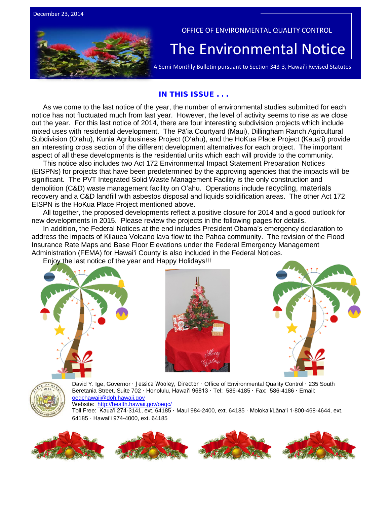



#### OFFICE OF ENVIRONMENTAL QUALITY CONTROL

# The Environmental Notice  $|\Gamma_{\text{A semi-Monthly Bulletin pursuit to Section 343-3, Hawaii' Revised Statutes}}$

#### IN THIS ISSUE . . .

As we come to the last notice of the year, the number of environmental studies submitted for each notice has not fluctuated much from last year. However, the level of activity seems to rise as we close out the year. For this last notice of 2014, there are four interesting subdivision projects which include mixed uses with residential development. The Pāʻia Courtyard (Maui), Dillingham Ranch Agricultural Subdivision (Oʻahu), Kunia Agribusiness Project (Oʻahu), and the HoKua Place Project (Kauaʻi) provide an interesting cross section of the different development alternatives for each project. The important aspect of all these developments is the residential units which each will provide to the community.

This notice also includes two Act 172 Environmental Impact Statement Preparation Notices (EISPNs) for projects that have been predetermined by the approving agencies that the impacts will be significant. The PVT Integrated Solid Waste Management Facility is the only construction and demolition (C&D) waste management facility on Oʻahu. Operations include recycling, materials recovery and a C&D landfill with asbestos disposal and liquids solidification areas. The other Act 172 EISPN is the HoKua Place Project mentioned above.

All together, the proposed developments reflect a positive closure for 2014 and a good outlook for new developments in 2015. Please review the projects in the following pages for details.

In addition, the Federal Notices at the end includes President Obama's emergency declaration to address the impacts of Kilauea Volcano lava flow to the Pahoa community. The revision of the Flood Insurance Rate Maps and Base Floor Elevations under the Federal Emergency Management Administration (FEMA) for Hawaiʻi County is also included in the Federal Notices.

Enjoy the last notice of the year and Happy Holidays!!!







David Y. Ige, Governor · Jessica Wooley, Director · Office of Environmental Quality Control · 235 South Beretania Street, Suite 702 · Honolulu, Hawaiʻi 96813 ∙ Tel: 586-4185 · Fax: 586-4186 · Email: [oeqchawaii@doh.hawaii.gov](mailto:oeqchawaii@doh.hawaii.gov) 

Website: <http://health.hawaii.gov/oeqc/>

Toll Free: Kauaʻi 274-3141, ext. 64185 · Maui 984-2400, ext. 64185 · Molokaʻi/Lānaʻi 1-800-468-4644, ext. 64185 · Hawaiʻi 974-4000, ext. 64185

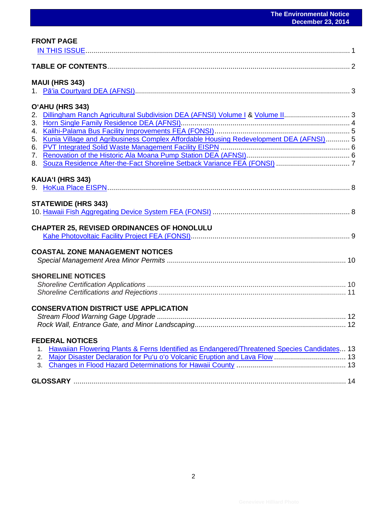| <b>FRONT PAGE</b>                                                                                                                                                                                                                                                |  |
|------------------------------------------------------------------------------------------------------------------------------------------------------------------------------------------------------------------------------------------------------------------|--|
|                                                                                                                                                                                                                                                                  |  |
| <b>MAUI (HRS 343)</b>                                                                                                                                                                                                                                            |  |
| O'AHU (HRS 343)<br>Dillingham Ranch Agricultural Subdivision DEA (AFNSI) Volume   & Volume II 3<br>2.<br>3.<br>4.<br>Kunia Village and Agribusiness Complex Affordable Housing Redevelopment DEA (AFNSI) 5<br>5.<br>6.<br>$7_{\scriptscriptstyle{\ddots}}$<br>8. |  |
| KAUA'I (HRS 343)                                                                                                                                                                                                                                                 |  |
| <b>STATEWIDE (HRS 343)</b>                                                                                                                                                                                                                                       |  |
| <b>CHAPTER 25, REVISED ORDINANCES OF HONOLULU</b>                                                                                                                                                                                                                |  |
| <b>COASTAL ZONE MANAGEMENT NOTICES</b>                                                                                                                                                                                                                           |  |
| <b>SHORELINE NOTICES</b>                                                                                                                                                                                                                                         |  |
| <b>CONSERVATION DISTRICT USE APPLICATION</b>                                                                                                                                                                                                                     |  |
| <b>FEDERAL NOTICES</b><br>Hawaiian Flowering Plants & Ferns Identified as Endangered/Threatened Species Candidates 13<br>1.<br>2.<br>3.                                                                                                                          |  |
|                                                                                                                                                                                                                                                                  |  |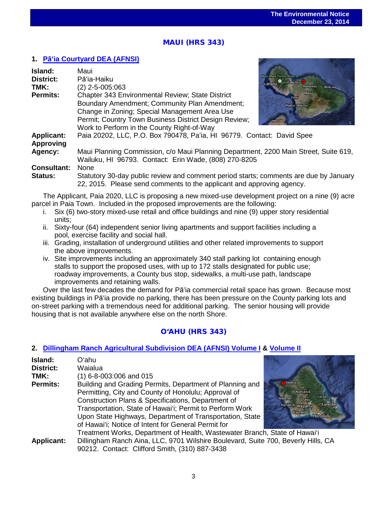# $\overline{a}$ MAUI (HRS 343)

## **1. Pāʻ[ia Courtyard DEA \(AFNSI\)](http://oeqc.doh.hawaii.gov/Shared%20Documents/EA_and_EIS_Online_Library/Maui/2010s/2014-12-23-MA-5E-DEA-Paia-Courtyard.pdf)**

| Island:<br><b>District:</b><br>TMK: | Maui<br>Pā'ia-Haiku<br>$(2)$ 2-5-005:063                                                                                                                       | <b>West Maui Forest Reserve</b><br>$\bullet$ Kahului $\bullet$<br>Lahaina<br>Makawao,<br>Wailua- |
|-------------------------------------|----------------------------------------------------------------------------------------------------------------------------------------------------------------|--------------------------------------------------------------------------------------------------|
| Permits:                            | <b>Chapter 343 Environmental Review; State District</b>                                                                                                        | Maui                                                                                             |
|                                     | Boundary Amendment; Community Plan Amendment;<br>Change in Zoning; Special Management Area Use                                                                 | Kihei<br>Wailea-Makena                                                                           |
|                                     | Permit; Country Town Business District Design Review;                                                                                                          | ano plawe                                                                                        |
|                                     | Work to Perform in the County Right-of-Way                                                                                                                     |                                                                                                  |
| <b>Applicant:</b>                   | Paia 20202, LLC, P.O. Box 790478, Pa'ia, HI 96779. Contact: David Spee                                                                                         |                                                                                                  |
| <b>Approving</b>                    |                                                                                                                                                                |                                                                                                  |
| Agency:                             | Maui Planning Commission, c/o Maui Planning Department, 2200 Main Street, Suite 619,<br>Wailuku, HI 96793. Contact: Erin Wade, (808) 270-8205                  |                                                                                                  |
| <b>Consultant:</b>                  | <b>None</b>                                                                                                                                                    |                                                                                                  |
| Status:                             | Statutory 30-day public review and comment period starts; comments are due by January<br>22, 2015. Please send comments to the applicant and approving agency. |                                                                                                  |

The Applicant, Paia 2020, LLC is proposing a new mixed-use development project on a nine (9) acre parcel in Paia Town. Included in the proposed improvements are the following:

- i. Six (6) two-story mixed-use retail and office buildings and nine (9) upper story residential units;
- ii. Sixty-four (64) independent senior living apartments and support facilities including a pool, exercise facility and social hall.
- iii. Grading, installation of underground utilities and other related improvements to support the above improvements.
- iv. Site improvements including an approximately 340 stall parking lot containing enough stalls to support the proposed uses, with up to 172 stalls designated for public use; roadway improvements, a County bus stop, sidewalks, a multi-use path, landscape improvements and retaining walls.

Over the last few decades the demand for Pāʻia commercial retail space has grown. Because most existing buildings in Pāʻia provide no parking, there has been pressure on the County parking lots and on-street parking with a tremendous need for additional parking. The senior housing will provide housing that is not available anywhere else on the north Shore.

## O'AHU (HRS 343)

## **2. [Dillingham Ranch Agricultural Subdivision DEA \(AFNSI\) Volume I](http://oeqc.doh.hawaii.gov/Shared%20Documents/EA_and_EIS_Online_Library/Oahu/2010s/2014-12-23-OA-5E-DEA-Dillingham-Ranch-Agriculutural-Subdivision-Volume-I.pdf) & [Volume II](http://oeqc.doh.hawaii.gov/Shared%20Documents/EA_and_EIS_Online_Library/Oahu/2010s/2014-12-23-OA-5E-DEA-Dillingham-Ranch-Agriculutural-Subdivision-Volume-II-Appendices.pdf)**

| Island:           | Oʻahu                                                                             |                                    |
|-------------------|-----------------------------------------------------------------------------------|------------------------------------|
| <b>District:</b>  | Waialua                                                                           |                                    |
| TMK:              | $(1)$ 6-8-003:006 and 015                                                         |                                    |
| <b>Permits:</b>   | Building and Grading Permits, Department of Planning and                          | Vaialua                            |
|                   | Permitting, City and County of Honolulu; Approval of                              | Wahiawa<br>Kahalu'u                |
|                   | Construction Plans & Specifications, Department of                                | Waianae<br>O'ahu<br><b>Kaneohe</b> |
|                   | Transportation, State of Hawai'i; Permit to Perform Work                          | Nanakuli Waipahu<br>Kapolei        |
|                   | Upon State Highways, Department of Transportation, State                          | <b>Honolulu</b>                    |
|                   | of Hawai'i; Notice of Intent for General Permit for                               |                                    |
|                   | Treatment Works, Department of Health, Wastewater Branch, State of Hawai'i        |                                    |
| <b>Applicant:</b> | Dillingham Ranch Aina, LLC, 9701 Wilshire Boulevard, Suite 700, Beverly Hills, CA |                                    |
|                   | 90212. Contact: Clifford Smith, (310) 887-3438                                    |                                    |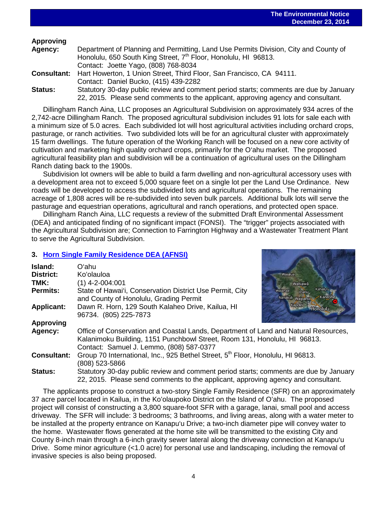## **Approving**

| Agency:        | Department of Planning and Permitting, Land Use Permits Division, City and County of    |
|----------------|-----------------------------------------------------------------------------------------|
|                | Honolulu, 650 South King Street, 7 <sup>th</sup> Floor, Honolulu, HI 96813.             |
|                | Contact: Joette Yago, (808) 768-8034                                                    |
|                | <b>Consultant:</b> Hart Howerton, 1 Union Street, Third Floor, San Francisco, CA 94111. |
|                | Contact: Daniel Bucko, (415) 439-2282                                                   |
| <b>Status:</b> | Statutory 30-day public review and comment period starts; comments are due by January   |
|                | 22, 2015. Please send comments to the applicant, approving agency and consultant.       |

 $\overline{a}$ 

Dillingham Ranch Aina, LLC proposes an Agricultural Subdivision on approximately 934 acres of the 2,742-acre Dillingham Ranch. The proposed agricultural subdivision includes 91 lots for sale each with a minimum size of 5.0 acres. Each subdivided lot will host agricultural activities including orchard crops, pasturage, or ranch activities. Two subdivided lots will be for an agricultural cluster with approximately 15 farm dwellings. The future operation of the Working Ranch will be focused on a new core activity of cultivation and marketing high quality orchard crops, primarily for the O'ahu market. The proposed agricultural feasibility plan and subdivision will be a continuation of agricultural uses on the Dillingham Ranch dating back to the 1900s.

Subdivision lot owners will be able to build a farm dwelling and non-agricultural accessory uses with a development area not to exceed 5,000 square feet on a single lot per the Land Use Ordinance. New roads will be developed to access the subdivided lots and agricultural operations. The remaining acreage of 1,808 acres will be re-subdivided into seven bulk parcels. Additional bulk lots will serve the pasturage and equestrian operations, agricultural and ranch operations, and protected open space.

Dillingham Ranch Aina, LLC requests a review of the submitted Draft Environmental Assessment (DEA) and anticipated finding of no significant impact (FONSI). The "trigger" projects associated with the Agricultural Subdivision are; Connection to Farrington Highway and a Wastewater Treatment Plant to serve the Agricultural Subdivision.

## **3. [Horn Single Family Residence DEA \(AFNSI\)](http://oeqc.doh.hawaii.gov/Shared%20Documents/EA_and_EIS_Online_Library/Oahu/2010s/2014-12-23-OA-5E-DEA-Horn-Single-Family-Residence.pdf)**

| Island:            | Oʻahul                                                                                      |
|--------------------|---------------------------------------------------------------------------------------------|
| <b>District:</b>   | Ko'olauloa<br>Waialua                                                                       |
| TMK:               | $(1)$ 4-2-004:001<br>Wahiawa                                                                |
| <b>Permits:</b>    | Kahalu'u<br>State of Hawai'i, Conservation District Use Permit, City<br>Waianae<br>O'ahu    |
|                    | Nanakuli Waipahu-<br>Kaneohe<br>and County of Honolulu, Grading Permit                      |
| <b>Applicant:</b>  | Kapolei<br>Dawn R. Horn, 129 South Kalaheo Drive, Kailua, HI<br><b>Honolulu</b>             |
|                    | 96734. (805) 225-7873                                                                       |
| <b>Approving</b>   |                                                                                             |
| Agency:            | Office of Conservation and Coastal Lands, Department of Land and Natural Resources,         |
|                    | Kalanimoku Building, 1151 Punchbowl Street, Room 131, Honolulu, HI 96813.                   |
|                    | Contact: Samuel J. Lemmo, (808) 587-0377                                                    |
| <b>Consultant:</b> | Group 70 International, Inc., 925 Bethel Street, 5 <sup>th</sup> Floor, Honolulu, HI 96813. |
|                    | (808) 523-5866                                                                              |
| <b>Status:</b>     | Statutory 30-day public review and comment period starts; comments are due by January       |
|                    | 22, 2015. Please send comments to the applicant, approving agency and consultant.           |

The applicants propose to construct a two-story Single Family Residence (SFR) on an approximately 37 acre parcel located in Kailua, in the Koʻolaupoko District on the Island of Oʻahu. The proposed project will consist of constructing a 3,800 square-foot SFR with a garage, lanai, small pool and access driveway. The SFR will include: 3 bedrooms; 3 bathrooms, and living areas, along with a water meter to be installed at the property entrance on Kanapu'u Drive; a two-inch diameter pipe will convey water to the home. Wastewater flows generated at the home site will be transmitted to the existing City and County 8-inch main through a 6-inch gravity sewer lateral along the driveway connection at Kanapu'u Drive. Some minor agriculture (<1.0 acre) for personal use and landscaping, including the removal of invasive species is also being proposed.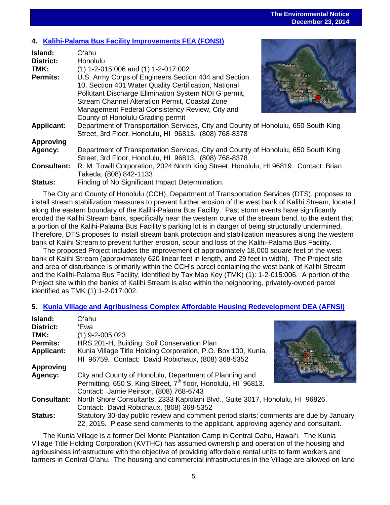#### **The Environmental Notice December 23, 2014**

# $\overline{a}$ **4. [Kalihi-Palama Bus Facility Improvements FEA \(FONSI\)](http://oeqc.doh.hawaii.gov/Shared%20Documents/EA_and_EIS_Online_Library/Oahu/2010s/2014-12-23-OA-5B-FEA-Kalihi-Palama-Bus-Facility-Improvements.pdf)**

| Island:            | Oʻahu                                                                                |                              |
|--------------------|--------------------------------------------------------------------------------------|------------------------------|
| <b>District:</b>   | Honolulu                                                                             | Waialua                      |
| TMK:               | $(1)$ 1-2-015:006 and $(1)$ 1-2-017:002                                              |                              |
| <b>Permits:</b>    | U.S. Army Corps of Engineers Section 404 and Section                                 | Wahiawā<br>Kahalu'u          |
|                    | 10, Section 401 Water Quality Certification, National                                | Walanae<br>O'ahu<br>Kaneohe  |
|                    | Pollutant Discharge Elimination System NOI G permit,                                 | Nanakuli Waipahui<br>Kapolei |
|                    | Stream Channel Alteration Permit, Coastal Zone                                       | Honolulu                     |
|                    | Management Federal Consistency Review, City and                                      |                              |
|                    | County of Honolulu Grading permit                                                    |                              |
| <b>Applicant:</b>  | Department of Transportation Services, City and County of Honolulu, 650 South King   |                              |
|                    | Street, 3rd Floor, Honolulu, HI 96813. (808) 768-8378                                |                              |
| <b>Approving</b>   |                                                                                      |                              |
| Agency:            | Department of Transportation Services, City and County of Honolulu, 650 South King   |                              |
|                    | Street, 3rd Floor, Honolulu, HI 96813. (808) 768-8378                                |                              |
| <b>Consultant:</b> | R. M. Towill Corporation, 2024 North King Street, Honolulu, HI 96819. Contact: Brian |                              |
|                    | Takeda, (808) 842-1133                                                               |                              |
| <b>Status:</b>     | Finding of No Significant Impact Determination.                                      |                              |

The City and County of Honolulu (CCH), Department of Transportation Services (DTS), proposes to install stream stabilization measures to prevent further erosion of the west bank of Kalihi Stream, located along the eastern boundary of the Kalihi-Palama Bus Facility. Past storm events have significantly eroded the Kalihi Stream bank, specifically near the western curve of the stream bend, to the extent that a portion of the Kalihi-Palama Bus Facility's parking lot is in danger of being structurally undermined. Therefore, DTS proposes to install stream bank protection and stabilization measures along the western bank of Kalihi Stream to prevent further erosion, scour and loss of the Kalihi-Palama Bus Facility.

The proposed Project includes the improvement of approximately 18,000 square feet of the west bank of Kalihi Stream (approximately 620 linear feet in length, and 29 feet in width). The Project site and area of disturbance is primarily within the CCH's parcel containing the west bank of Kalihi Stream and the Kalihi-Palama Bus Facility, identified by Tax Map Key (TMK) (1): 1-2-015:006. A portion of the Project site within the banks of Kalihi Stream is also within the neighboring, privately-owned parcel identified as TMK (1):1-2-017:002.

#### **5. [Kunia Village and Agribusiness Complex Affordable Housing Redevelopment DEA \(AFNSI\)](http://oeqc.doh.hawaii.gov/Shared%20Documents/EA_and_EIS_Online_Library/Oahu/2010s/2014-12-23-OA-5E-DEA-Kunia-Village-and-Agribusiness-Complex-Affordable-Housing-Redevelopment.pdf)**

| Island:            | Oʻahu                                                                                 |                                        |
|--------------------|---------------------------------------------------------------------------------------|----------------------------------------|
| District:          | 'Ewa                                                                                  |                                        |
| TMK:               | $(1)$ 9-2-005:023                                                                     |                                        |
| <b>Permits:</b>    | HRS 201-H, Building, Soil Conservation Plan                                           | Waialua                                |
| <b>Applicant:</b>  | Kunia Village Title Holding Corporation, P.O. Box 100, Kunia,                         | Wahiawā<br>Kahalu'u                    |
|                    | HI 96759. Contact: David Robichaux, (808) 368-5352                                    | Watanae<br>Nanakuli Waipahu<br>Kaneohe |
| <b>Approving</b>   |                                                                                       | Kapolei<br>Honolulu                    |
| Agency:            | City and County of Honolulu, Department of Planning and                               |                                        |
|                    | Permitting, 650 S. King Street, 7 <sup>th</sup> floor, Honolulu, HI 96813.            |                                        |
|                    | Contact: Jamie Peirson, (808) 768-6743                                                |                                        |
| <b>Consultant:</b> | North Shore Consultants, 2333 Kapiolani Blvd., Suite 3017, Honolulu, HI 96826.        |                                        |
|                    | Contact: David Robichaux, (808) 368-5352                                              |                                        |
| <b>Status:</b>     | Statutory 30-day public review and comment period starts; comments are due by January |                                        |
|                    | 22, 2015. Please send comments to the applicant, approving agency and consultant.     |                                        |

The Kunia Village is a former Del Monte Plantation Camp in Central Oahu, Hawai'i. The Kunia Village Title Holding Corporation (KVTHC) has assumed ownership and operation of the housing and agribusiness infrastructure with the objective of providing affordable rental units to farm workers and farmers in Central Oʻahu. The housing and commercial infrastructures in the Village are allowed on land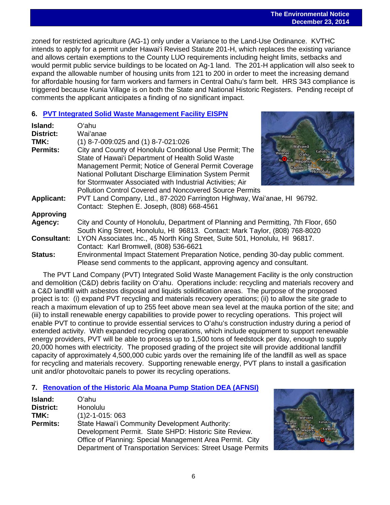$\overline{a}$ zoned for restricted agriculture (AG-1) only under a Variance to the Land-Use Ordinance. KVTHC intends to apply for a permit under Hawai'i Revised Statute 201-H, which replaces the existing variance and allows certain exemptions to the County LUO requirements including height limits, setbacks and would permit public service buildings to be located on Ag-1 land. The 201-H application will also seek to expand the allowable number of housing units from 121 to 200 in order to meet the increasing demand for affordable housing for farm workers and farmers in Central Oahu's farm belt. HRS 343 compliance is triggered because Kunia Village is on both the State and National Historic Registers. Pending receipt of comments the applicant anticipates a finding of no significant impact.

#### **6. [PVT Integrated Solid Waste Management Facility EISPN](http://oeqc.doh.hawaii.gov/Shared%20Documents/EA_and_EIS_Online_Library/Oahu/2010s/2014-12-23-OA-5E-EISPN-PVT-Integrated-Solid-Waste-Management-Facility.pdf)**

| Island:            | Oʻahu                                                                                                                                                                                                                                                                                       |                                                                                              |
|--------------------|---------------------------------------------------------------------------------------------------------------------------------------------------------------------------------------------------------------------------------------------------------------------------------------------|----------------------------------------------------------------------------------------------|
| <b>District:</b>   | Waiʻanae                                                                                                                                                                                                                                                                                    | Waialua                                                                                      |
| TMK:               | $(1)$ 8-7-009:025 and $(1)$ 8-7-021:026                                                                                                                                                                                                                                                     |                                                                                              |
| <b>Permits:</b>    | City and County of Honolulu Conditional Use Permit; The<br>State of Hawai'i Department of Health Solid Waste<br>Management Permit; Notice of General Permit Coverage<br>National Pollutant Discharge Elimination System Permit<br>for Stormwater Associated with Industrial Activities; Air | Wahiawā<br>Kahalu'u<br>Waianae<br>O'ahu<br>Na kuli Waipahu<br>Kaneohe<br>Kapolei<br>Honolulu |
|                    | Pollution Control Covered and Noncovered Source Permits                                                                                                                                                                                                                                     |                                                                                              |
| <b>Applicant:</b>  | PVT Land Company, Ltd., 87-2020 Farrington Highway, Wai'anae, HI 96792.<br>Contact: Stephen E. Joseph, (808) 668-4561                                                                                                                                                                       |                                                                                              |
| <b>Approving</b>   |                                                                                                                                                                                                                                                                                             |                                                                                              |
| Agency:            | City and County of Honolulu, Department of Planning and Permitting, 7th Floor, 650<br>South King Street, Honolulu, HI 96813. Contact: Mark Taylor, (808) 768-8020                                                                                                                           |                                                                                              |
| <b>Consultant:</b> | LYON Associates Inc., 45 North King Street, Suite 501, Honolulu, HI 96817.                                                                                                                                                                                                                  |                                                                                              |
|                    | Contact: Karl Bromwell, (808) 536-6621                                                                                                                                                                                                                                                      |                                                                                              |
| <b>Status:</b>     | Environmental Impact Statement Preparation Notice, pending 30-day public comment.<br>Please send comments to the applicant, approving agency and consultant.                                                                                                                                |                                                                                              |

The PVT Land Company (PVT) Integrated Solid Waste Management Facility is the only construction and demolition (C&D) debris facility on Oʻahu. Operations include: recycling and materials recovery and a C&D landfill with asbestos disposal and liquids solidification areas. The purpose of the proposed project is to: (i) expand PVT recycling and materials recovery operations; (ii) to allow the site grade to reach a maximum elevation of up to 255 feet above mean sea level at the mauka portion of the site; and (iii) to install renewable energy capabilities to provide power to recycling operations. This project will enable PVT to continue to provide essential services to Oʻahu's construction industry during a period of extended activity. With expanded recycling operations, which include equipment to support renewable energy providers, PVT will be able to process up to 1,500 tons of feedstock per day, enough to supply 20,000 homes with electricity. The proposed grading of the project site will provide additional landfill capacity of approximately 4,500,000 cubic yards over the remaining life of the landfill as well as space for recycling and materials recovery. Supporting renewable energy, PVT plans to install a gasification unit and/or photovoltaic panels to power its recycling operations.

## **7. [Renovation of the Historic Ala Moana Pump Station DEA \(AFNSI\)](http://oeqc.doh.hawaii.gov/Shared%20Documents/EA_and_EIS_Online_Library/Oahu/2010s/2014-12-23-OA-5B-DEA-Renovation-of-the-Historic-Ala-Moana-Pump-Station.pdf)**

| Island:         | O'ahu                                                       |  |  |
|-----------------|-------------------------------------------------------------|--|--|
| District:       | Honolulu                                                    |  |  |
| TMK:            | $(1)$ 2-1-015: 063                                          |  |  |
| <b>Permits:</b> | State Hawai'i Community Development Authority:              |  |  |
|                 | Development Permit. State SHPD: Historic Site Review.       |  |  |
|                 | Office of Planning: Special Management Area Permit. City    |  |  |
|                 | Department of Transportation Services: Street Usage Permits |  |  |

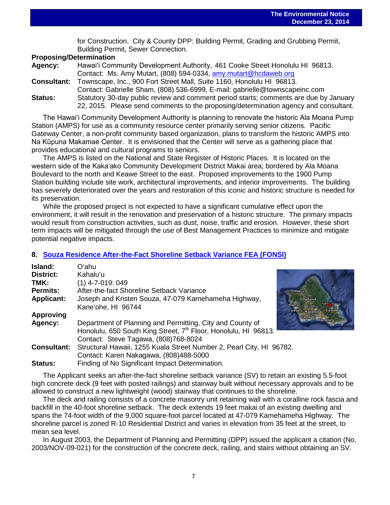$\overline{a}$ for Construction. City & County DPP: Building Permit, Grading and Grubbing Permit, Building Permit, Sewer Connection.

#### **Proposing/Determination**

| Agency:            | Hawai'i Community Development Authority, 461 Cooke Street Honolulu HI 96813.          |  |
|--------------------|---------------------------------------------------------------------------------------|--|
|                    | Contact: Ms. Amy Mutart, (808) 594-0334, amy mutart@hcdaweb.org                       |  |
| <b>Consultant:</b> | Townscape, Inc., 900 Fort Street Mall, Suite 1160, Honolulu HI 96813.                 |  |
|                    | Contact: Gabrielle Sham, (808) 536-6999, E-mail: gabrielle@townscapeinc.com           |  |
| <b>Status:</b>     | Statutory 30-day public review and comment period starts; comments are due by January |  |
|                    | 22, 2015. Please send comments to the proposing/determination agency and consultant.  |  |

The Hawaiʻi Community Development Authority is planning to renovate the historic Ala Moana Pump Station (AMPS) for use as a community resource center primarily serving senior citizens. Pacific Gateway Center, a non-profit community based organization, plans to transform the historic AMPS into Na Kūpuna Makamae Center. It is envisioned that the Center will serve as a gathering place that provides educational and cultural programs to seniors.

The AMPS is listed on the National and State Register of Historic Places. It is located on the western side of the Kakaʻako Community Development District Makai area; bordered by Ala Moana Boulevard to the north and Keawe Street to the east. Proposed improvements to the 1900 Pump Station building include site work, architectural improvements, and interior improvements. The building has severely deteriorated over the years and restoration of this iconic and historic structure is needed for its preservation.

While the proposed project is not expected to have a significant cumulative effect upon the environment, it will result in the renovation and preservation of a historic structure. The primary impacts would result from construction activities, such as dust, noise, traffic and erosion. However, these short term impacts will be mitigated through the use of Best Management Practices to minimize and mitigate potential negative impacts.

## **8. [Souza Residence After-the-Fact Shoreline Setback Variance](http://oeqc.doh.hawaii.gov/Shared%20Documents/EA_and_EIS_Online_Library/Oahu/2010s/2014-12-23-OA-5E-FEA-Souza-Residence-After-the-Fact-Shoreline-Setback-Variance.pdf) FEA (FONSI)**

| Island:            | Oʻahu                                                                                                                                    |
|--------------------|------------------------------------------------------------------------------------------------------------------------------------------|
| District:          | Kahalu'u                                                                                                                                 |
| TMK:               | $(1)$ 4-7-019: 049                                                                                                                       |
| Permits:           | After-the-fact Shoreline Setback Variance<br>Waialua                                                                                     |
| <b>Applicant:</b>  | Joseph and Kristen Souza, 47-079 Kamehameha Highway,<br>W<br><b>Majanae</b><br>Kane'ohe, HI 96744                                        |
| <b>Approving</b>   | Nanakuli y<br>Kap                                                                                                                        |
| Agency:            | Department of Planning and Permitting, City and County of<br>Honolulu, 650 South King Street, 7 <sup>th</sup> Floor, Honolulu, HI 96813. |
|                    | Contact: Steve Tagawa, (808)768-8024                                                                                                     |
| <b>Consultant:</b> | Structural Hawaii, 1255 Kuala Street Number 2, Pearl City, HI 96782.                                                                     |
|                    | Contact: Karen Nakagawa, (808)488-5000                                                                                                   |
| <b>Status:</b>     | Finding of No Significant Impact Determination.                                                                                          |

The Applicant seeks an after-the-fact shoreline setback variance (SV) to retain an existing 5.5-foot high concrete deck (9 feet with posted railings) and stairway built without necessary approvals and to be allowed to construct a new lightweight (wood) stairway that continues to the shoreline.

The deck and railing consists of a concrete masonry unit retaining wall with a coralline rock fascia and backfill in the 40-foot shoreline setback. The deck extends 19 feet makai of an existing dwelling and spans the 74-foot width of the 9,000 square-foot parcel located at 47-079 Kamehameha Highway. The shoreline parcel is zoned R-10 Residential District and varies in elevation from 35 feet at the street, to mean sea level.

In August 2003, the Department of Planning and Permitting (DPP) issued the applicant a citation (No. 2003/NOV-09-021) for the construction of the concrete deck, railing, and stairs without obtaining an SV.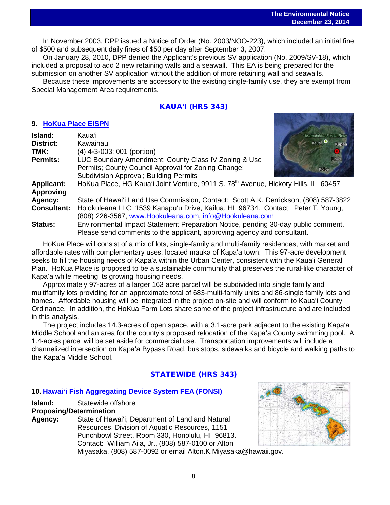$\overline{a}$ In November 2003, DPP issued a Notice of Order (No. 2003/NOO-223), which included an initial fine of \$500 and subsequent daily fines of \$50 per day after September 3, 2007.

On January 28, 2010, DPP denied the Applicant's previous SV application (No. 2009/SV-18), which included a proposal to add 2 new retaining walls and a seawall. This EA is being prepared for the submission on another SV application without the addition of more retaining wall and seawalls.

Because these improvements are accessory to the existing single-family use, they are exempt from Special Management Area requirements.

## KAUA'I (HRS 343)

#### **9. [HoKua Place EISPN](http://oeqc.doh.hawaii.gov/Shared%20Documents/EA_and_EIS_Online_Library/Kauai/2010s/2014-12-23-KA-5E-EISPN-HoKua-Place.pdf)**

| Island:            | Kaua'il                                                                                        | Mamalahoa Forest Resv       |
|--------------------|------------------------------------------------------------------------------------------------|-----------------------------|
| District:          | Kawaihau                                                                                       | Kauai <sup>O</sup><br>Kapaa |
| TMK:               | (4) 4-3-003: 001 (portion)                                                                     |                             |
| <b>Permits:</b>    | LUC Boundary Amendment; County Class IV Zoning & Use                                           | Linule                      |
|                    | Permits; County Council Approval for Zoning Change;                                            | Koloa                       |
|                    | Subdivision Approval; Building Permits                                                         |                             |
| <b>Applicant:</b>  | HoKua Place, HG Kaua'i Joint Venture, 9911 S. 78 <sup>th</sup> Avenue, Hickory Hills, IL 60457 |                             |
| <b>Approving</b>   |                                                                                                |                             |
| Agency:            | State of Hawai'i Land Use Commission, Contact: Scott A.K. Derrickson, (808) 587-3822           |                             |
| <b>Consultant:</b> | Ho'okuleana LLC, 1539 Kanapu'u Drive, Kailua, HI 96734. Contact: Peter T. Young,               |                             |
|                    | (808) 226-3567, www.Hookuleana.com, info@Hookuleana.com                                        |                             |
| <b>Status:</b>     | Environmental Impact Statement Preparation Notice, pending 30-day public comment.              |                             |

Please send comments to the applicant, approving agency and consultant.

HoKua Place will consist of a mix of lots, single-family and multi-family residences, with market and affordable rates with complementary uses, located mauka of Kapaʻa town. This 97-acre development seeks to fill the housing needs of Kapaʻa within the Urban Center, consistent with the Kauaʻi General Plan. HoKua Place is proposed to be a sustainable community that preserves the rural-like character of Kapaʻa while meeting its growing housing needs.

Approximately 97-acres of a larger 163 acre parcel will be subdivided into single family and multifamily lots providing for an approximate total of 683-multi-family units and 86-single family lots and homes. Affordable housing will be integrated in the project on-site and will conform to Kauaʻi County Ordinance. In addition, the HoKua Farm Lots share some of the project infrastructure and are included in this analysis.

The project includes 14.3-acres of open space, with a 3.1-acre park adjacent to the existing Kapaʻa Middle School and an area for the county's proposed relocation of the Kapaʻa County swimming pool. A 1.4-acres parcel will be set aside for commercial use. Transportation improvements will include a channelized intersection on Kapaʻa Bypass Road, bus stops, sidewalks and bicycle and walking paths to the Kapaʻa Middle School.

## STATEWIDE (HRS 343)

## **10. Hawaiʻ[i Fish Aggregating Device System FEA \(FONSI\)](http://oeqc.doh.hawaii.gov/Shared%20Documents/EA_and_EIS_Online_Library/Statewide/2010s/2014-12-23-ST-5B-FEA-Hawaii-Fish-Aggregating-Device-System.pdf)**

**Island:** Statewide offshore

## **Proposing/Determination**

**Agency:** State of Hawai'i; Department of Land and Natural Resources, Division of Aquatic Resources, 1151 Punchbowl Street, Room 330, Honolulu, HI 96813. Contact: William Aila, Jr., (808) 587-0100 or Alton



Miyasaka, (808) 587-0092 or email Alton.K.Miyasaka@hawaii.gov.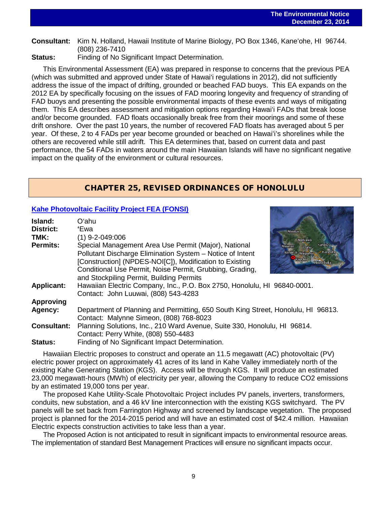# $\overline{a}$ **Consultant:** Kim N. Holland, Hawaii Institute of Marine Biology, PO Box 1346, Kaneʻohe, HI 96744. (808) 236-7410

**Status:** Finding of No Significant Impact Determination.

This Environmental Assessment (EA) was prepared in response to concerns that the previous PEA (which was submitted and approved under State of Hawai'i regulations in 2012), did not sufficiently address the issue of the impact of drifting, grounded or beached FAD buoys. This EA expands on the 2012 EA by specifically focusing on the issues of FAD mooring longevity and frequency of stranding of FAD buoys and presenting the possible environmental impacts of these events and ways of mitigating them. This EA describes assessment and mitigation options regarding Hawai'i FADs that break loose and/or become grounded. FAD floats occasionally break free from their moorings and some of these drift onshore. Over the past 10 years, the number of recovered FAD floats has averaged about 5 per year. Of these, 2 to 4 FADs per year become grounded or beached on Hawaiʻi's shorelines while the others are recovered while still adrift. This EA determines that, based on current data and past performance, the 54 FADs in waters around the main Hawaiian Islands will have no significant negative impact on the quality of the environment or cultural resources.

## CHAPTER 25, REVISED ORDINANCES OF HONOLULU

## **[Kahe Photovoltaic Facility Project FEA \(FONSI\)](http://oeqc.doh.hawaii.gov/Shared%20Documents/EA_and_EIS_Online_Library/Non-343-EA-EIS-Notices/2014-12-23-OA-CH25-5E-FEA-Kahe-Photovoltaic-Facility-Project.pdf)**

| Island:            | Oʻahu                                                                             |                              |
|--------------------|-----------------------------------------------------------------------------------|------------------------------|
| <b>District:</b>   | 'Ewa                                                                              | Waialua                      |
| TMK:               | (1) 9-2-049:006                                                                   | Wahiawa                      |
| <b>Permits:</b>    | Special Management Area Use Permit (Major), National                              | Kahalu'u<br>Waianae<br>O'ahu |
|                    | Pollutant Discharge Elimination System - Notice of Intent                         | Nanakuli Waipahu<br>Kaneoh   |
|                    | [Construction] (NPDES-NOI[C]), Modification to Existing                           | Kapolei<br>Honolulu          |
|                    | Conditional Use Permit, Noise Permit, Grubbing, Grading,                          |                              |
|                    | and Stockpiling Permit, Building Permits                                          |                              |
| <b>Applicant:</b>  | Hawaiian Electric Company, Inc., P.O. Box 2750, Honolulu, HI 96840-0001.          |                              |
|                    | Contact: John Luuwai, (808) 543-4283                                              |                              |
| <b>Approving</b>   |                                                                                   |                              |
| Agency:            | Department of Planning and Permitting, 650 South King Street, Honolulu, HI 96813. |                              |
|                    | Contact: Malynne Simeon, (808) 768-8023                                           |                              |
| <b>Consultant:</b> | Planning Solutions, Inc., 210 Ward Avenue, Suite 330, Honolulu, HI 96814.         |                              |
|                    | Contact: Perry White, (808) 550-4483                                              |                              |
| <b>Status:</b>     | Finding of No Significant Impact Determination.                                   |                              |

Hawaiian Electric proposes to construct and operate an 11.5 megawatt (AC) photovoltaic (PV) electric power project on approximately 41 acres of its land in Kahe Valley immediately north of the existing Kahe Generating Station (KGS). Access will be through KGS. It will produce an estimated 23,000 megawatt-hours (MWh) of electricity per year, allowing the Company to reduce CO2 emissions by an estimated 19,000 tons per year.

The proposed Kahe Utility-Scale Photovoltaic Project includes PV panels, inverters, transformers, conduits, new substation, and a 46 kV line interconnection with the existing KGS switchyard. The PV panels will be set back from Farrington Highway and screened by landscape vegetation. The proposed project is planned for the 2014-2015 period and will have an estimated cost of \$42.4 million. Hawaiian Electric expects construction activities to take less than a year.

The Proposed Action is not anticipated to result in significant impacts to environmental resource areas. The implementation of standard Best Management Practices will ensure no significant impacts occur.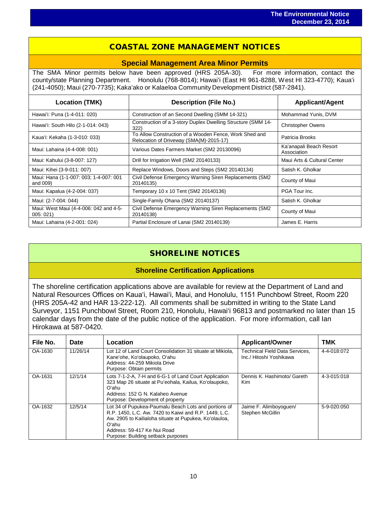## COASTAL ZONE MANAGEMENT NOTICES

 $\overline{a}$ 

#### **Special Management Area Minor Permits**

The SMA Minor permits below have been approved (HRS 205A-30). For more information, contact the county/state Planning Department. Honolulu (768-8014); Hawaiʻi (East HI 961-8288, West HI 323-4770); Kauaʻi (241-4050); Maui (270-7735); Kakaʻako or Kalaeloa Community Development District (587-2841).

| <b>Location (TMK)</b>                              | <b>Description (File No.)</b>                                                                     | <b>Applicant/Agent</b>                 |
|----------------------------------------------------|---------------------------------------------------------------------------------------------------|----------------------------------------|
| Hawai'i: Puna (1-4-011: 020)                       | Construction of an Second Dwelling (SMM 14-321)                                                   | Mohammad Yunis, DVM                    |
| Hawai'i: South Hilo (2-1-014: 043)                 | Construction of a 3-story Duplex Dwelling Structure (SMM 14-<br>322)                              | <b>Christopher Owens</b>               |
| Kaua'i: Kekaha (1-3-010: 033)                      | To Allow Construction of a Wooden Fence, Work Shed and<br>Relocation of Driveway (SMA(M)-2015-17) | Patricia Brooks                        |
| Maui: Lahaina (4-4-008: 001)                       | Various Dates Farmers Market (SM2 20130096)                                                       | Ka'anapali Beach Resort<br>Association |
| Maui: Kahului (3-8-007: 127)                       | Drill for Irrigation Well (SM2 20140133)                                                          | Maui Arts & Cultural Center            |
| Maui: Kihei (3-9-011: 007)                         | Replace Windows, Doors and Steps (SM2 20140134)                                                   | Satish K. Gholkar                      |
| Maui: Hana (1-1-007: 003; 1-4-007: 001<br>and 009) | Civil Defense Emergency Warning Siren Replacements (SM2<br>20140135)                              | County of Maui                         |
| Maui: Kapalua (4-2-004: 037)                       | Temporary 10 x 10 Tent (SM2 20140136)                                                             | PGA Tour Inc.                          |
| Maui: (2-7-004: 044)                               | Single-Family Ohana (SM2 20140137)                                                                | Satish K. Gholkar                      |
| Maui: West Maui (4-4-006: 042 and 4-5-<br>005:021  | Civil Defense Emergency Warning Siren Replacements (SM2<br>20140138)                              | County of Maui                         |
| Maui: Lahaina (4-2-001: 024)                       | Partial Enclosure of Lanai (SM2 20140139)                                                         | James E. Harris                        |

# SHORELINE NOTICES

## **Shoreline Certification Applications**

The shoreline certification applications above are available for review at the Department of Land and Natural Resources Offices on Kauaʻi, Hawaiʻi, Maui, and Honolulu, 1151 Punchbowl Street, Room 220 (HRS 205A-42 and HAR 13-222-12). All comments shall be submitted in writing to the State Land Surveyor, 1151 Punchbowl Street, Room 210, Honolulu, Hawai'i 96813 and postmarked no later than 15 calendar days from the date of the public notice of the application. For more information, call Ian Hirokawa at 587-0420.

| File No. | Date     | Location                                                                                                                                                                                                                                              | <b>Applicant/Owner</b>                                           | <b>TMK</b>  |
|----------|----------|-------------------------------------------------------------------------------------------------------------------------------------------------------------------------------------------------------------------------------------------------------|------------------------------------------------------------------|-------------|
| OA-1630  | 11/26/14 | Lot 12 of Land Court Consolidation 31 situate at Mikiola.<br>Kane'ohe, Ko'olaupoko, O'ahu<br>Address: 44-259 Mikiola Drive<br>Purpose: Obtain permits                                                                                                 | <b>Technical Field Data Services,</b><br>Inc./ Hitoshi Yoshikawa | 4-4-018:072 |
| OA-1631  | 12/1/14  | Lots 7-1-2-A, 7-H and 6-G-1 of Land Court Application<br>323 Map 26 situate at Pu'eohala, Kailua, Ko'olaupoko,<br>Oʻahu.<br>Address: 152 G N. Kalaheo Avenue<br>Purpose: Development of property                                                      | Dennis K. Hashimoto/ Gareth<br>Kim                               | 4-3-015:018 |
| OA-1632  | 12/5/14  | Lot 34 of Pupukea-Paumalu Beach Lots and portions of<br>R.P. 1450, L.C. Aw. 7420 to Kaiwi and R.P. 1449, L.C.<br>Aw. 2905 to Kailialoha situate at Pupukea, Ko'olauloa,<br>Oʻahu<br>Address: 59-417 Ke Nui Road<br>Purpose: Building setback purposes | Jaime F. Alimboyoguen/<br>Stephen McGillin                       | 5-9-020:050 |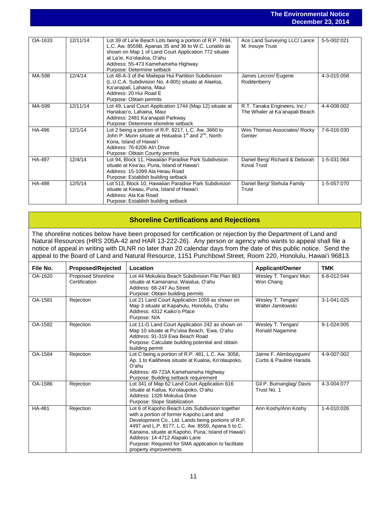#### **The Environmental Notice December 23, 2014**

|               |          |                                                                                                                                                                                                                                                                             |                                                                | PUUUIINUI LU, LU IT |
|---------------|----------|-----------------------------------------------------------------------------------------------------------------------------------------------------------------------------------------------------------------------------------------------------------------------------|----------------------------------------------------------------|---------------------|
|               |          |                                                                                                                                                                                                                                                                             |                                                                |                     |
| OA-1633       | 12/11/14 | Lot 39 of La'ie Beach Lots being a portion of R.P. 7494,<br>L.C. Aw. 8559B, Apanas 35 and 36 to W.C. Lunalilo as<br>shown on Map 1 of Land Court Application 772 situate<br>at La'ie, Ko'olauloa, O'ahu<br>Address: 55-473 Kamehameha Highway<br>Purpose: Determine setback | Ace Land Surveying LLC/ Lance<br>M. Inouye Trust               | 5-5-002:021         |
| MA-598        | 12/4/14  | Lot 48-A-3 of the Mailepai Hui Partition Subdivision<br>(L.U.C.A. Subdivision No. 4-805) situate at Alaeloa,<br>Ka'anapali, Lahaina, Maui<br>Address: 20 Hui Road E<br>Purpose: Obtain permits                                                                              | James Lecron/ Eugene<br>Roddenberry                            | 4-3-015:058         |
| MA-599        | 12/11/14 | Lot 49, Land Court Application 1744 (Map 12) situate at<br>Hanakao'o, Lahaina, Maui<br>Address: 2481 Ka'anapali Parkway<br>Purpose: Determine shoreline setback                                                                                                             | R.T. Tanaka Engineers, Inc./<br>The Whaler at Ka'anapali Beach | 4-4-008:002         |
| HA-496        | 12/1/14  | Lot 2 being a portion of R.P. 8217, L.C. Aw. 3660 to<br>John P. Munn situate at Holualoa 1 <sup>st</sup> and 2 <sup>nd</sup> , North<br>Kona. Island of Hawai'i<br>Address: 76-6206 Ali'i Drive<br>Purpose: Obtain County permits                                           | Wes Thomas Associates/ Rocky<br>Genter                         | 7-6-016:030         |
| HA-497        | 12/4/14  | Lot 94, Block 11, Hawaiian Paradise Park Subdivision<br>situate at Kea'au. Puna. Island of Hawai'i<br>Address: 15-1099 Ala Hejau Road<br>Purpose: Establish building setback                                                                                                | Daniel Berg/ Richard & Deborah<br><b>Koval Trust</b>           | 1-5-031:064         |
| <b>HA-498</b> | 12/5/14  | Lot 513, Block 10, Hawaiian Paradise Park Subdivision<br>situate at Keaau, Puna, Island of Hawai'i<br>Address: Ala Kai Road<br>Purpose: Establish building setback                                                                                                          | Daniel Berg/ Stehula Family<br>Trust                           | 1-5-057:070         |

## **Shoreline Certifications and Rejections**

The shoreline notices below have been proposed for certification or rejection by the Department of Land and Natural Resources (HRS 205A-42 and HAR 13-222-26). Any person or agency who wants to appeal shall file a notice of appeal in writing with DLNR no later than 20 calendar days from the date of this public notice. Send the appeal to the Board of Land and Natural Resource, 1151 Punchbowl Street, Room 220, Honolulu, Hawai'i 96813.

| File No. | <b>Proposed/Rejected</b>                   | Location                                                                                                                                                                                                                                                                                                                                                                      | <b>Applicant/Owner</b>                            | <b>TMK</b>  |
|----------|--------------------------------------------|-------------------------------------------------------------------------------------------------------------------------------------------------------------------------------------------------------------------------------------------------------------------------------------------------------------------------------------------------------------------------------|---------------------------------------------------|-------------|
| OA-1620  | <b>Proposed Shoreline</b><br>Certification | Lot 44 Mokuleia Beach Subdivision File Plan 863<br>situate at Kamananui, Waialua, O'ahu<br>Address: 68-247 Au Street<br>Purpose: Obtain building permits                                                                                                                                                                                                                      | Wesley T. Tengan/ Mun<br>Won Chang                | 6-8-012:044 |
| OA-1581  | Rejection                                  | Lot 21 Land Court Application 1059 as shown on<br>Map 3 situate at Kapahulu, Honolulu, O'ahu<br>Address: 4312 Kaiko'o Place<br>Purpose: N/A                                                                                                                                                                                                                                   | Wesley T. Tengan/<br>Walter Jamitowski            | 3-1-041:025 |
| OA-1582  | Rejection                                  | Lot 11-G Land Court Application 242 as shown on<br>Map 10 situate at Pu'uloa Beach, 'Ewa, O'ahu<br>Address: 91-319 Ewa Beach Road<br>Purpose: Calculate building potential and obtain<br>building permit                                                                                                                                                                      | Wesley T. Tengan/<br>Ronald Nagamine              | 9-1-024:005 |
| OA-1584  | Rejection                                  | Lot C being a portion of R.P. 481, L.C. Aw. 3056,<br>Ap. 1 to Kailihewa situate at Kualoa, Ko'olaupoko,<br>O'ahu<br>Address: 49-723A Kamehameha Highway<br>Purpose: Building setback requirement                                                                                                                                                                              | Jaime F. Alimboyoguen/<br>Curtis & Pauline Harada | 4-9-007:002 |
| OA-1586  | Rejection                                  | Lot 341 of Map 62 Land Court Application 616<br>situate at Kailua, Ko'olaupoko, O'ahu<br>Address: 1326 Mokulua Drive<br>Purpose: Slope Stabilization                                                                                                                                                                                                                          | Gil P. Bumanglag/ Davis<br>Trust No. 1            | 4-3-004:077 |
| HA-481   | Rejection                                  | Lot 6 of Kapoho Beach Lots Subdivision together<br>with a portion of former Kapoho Land and<br>Development Co., Ltd. Lands being portions of R.P.<br>4497 and L.P. 8177, L.C. Aw. 8559, Apana 5 to C.<br>Kanaina, situate at Kapoho, Puna, Island of Hawai'i<br>Address: 14-4712 Alapaki Lane<br>Purpose: Required for SMA application to facilitate<br>property improvements | Ann Koshy/Ann Koshy                               | 1-4-010:026 |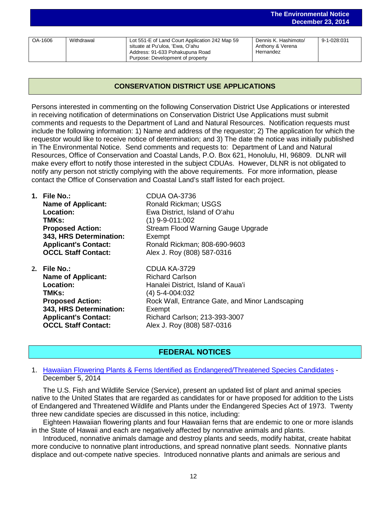|         |            |                                                                                                                                                          |                                                       | 50001110012012017 |
|---------|------------|----------------------------------------------------------------------------------------------------------------------------------------------------------|-------------------------------------------------------|-------------------|
|         |            |                                                                                                                                                          |                                                       |                   |
| OA-1606 | Withdrawal | Lot 551-E of Land Court Application 242 Map 59<br>situate at Pu'uloa, 'Ewa, O'ahu<br>Address: 91-633 Pohakupuna Road<br>Purpose: Development of property | Dennis K. Hashimoto/<br>Anthony & Verena<br>Hernandez | 9-1-028.031       |

**The Environmental Notice**

**December 23, 2014**

## **CONSERVATION DISTRICT USE APPLICATIONS**

Persons interested in commenting on the following Conservation District Use Applications or interested in receiving notification of determinations on Conservation District Use Applications must submit comments and requests to the Department of Land and Natural Resources. Notification requests must include the following information: 1) Name and address of the requestor; 2) The application for which the requestor would like to receive notice of determination; and 3) The date the notice was initially published in The Environmental Notice. Send comments and requests to: Department of Land and Natural Resources, Office of Conservation and Coastal Lands, P.O. Box 621, Honolulu, HI, 96809. DLNR will make every effort to notify those interested in the subject CDUAs. However, DLNR is not obligated to notify any person not strictly complying with the above requirements. For more information, please contact the Office of Conservation and Coastal Land's staff listed for each project.

| 1. File No.:                | CDUA OA-3736                                    |
|-----------------------------|-------------------------------------------------|
| <b>Name of Applicant:</b>   | Ronald Rickman; USGS                            |
| Location:                   | Ewa District, Island of O'ahu                   |
| TMKs:                       | $(1)$ 9-9-011:002                               |
| <b>Proposed Action:</b>     | Stream Flood Warning Gauge Upgrade              |
| 343, HRS Determination:     | Exempt                                          |
| <b>Applicant's Contact:</b> | Ronald Rickman; 808-690-9603                    |
| <b>OCCL Staff Contact:</b>  | Alex J. Roy (808) 587-0316                      |
| 2. File $No.$ :             | CDUA KA-3729                                    |
| <b>Name of Applicant:</b>   | <b>Richard Carlson</b>                          |
| Location:                   | Hanalei District, Island of Kaua'i              |
| TMKs:                       | (4) 5-4-004:032                                 |
| <b>Proposed Action:</b>     | Rock Wall, Entrance Gate, and Minor Landscaping |
| 343, HRS Determination:     | Exempt                                          |
| <b>Applicant's Contact:</b> | Richard Carlson; 213-393-3007                   |
| <b>OCCL Staff Contact:</b>  | Alex J. Roy (808) 587-0316                      |

## **FEDERAL NOTICES**

**OCCL Staff Contact:** Alex J. Roy (808) 587-0316

#### 1. Hawaiian Flowering Plants & [Ferns Identified as Endangered/Threatened Species Candidates](http://www.gpo.gov/fdsys/pkg/FR-2014-12-05/pdf/2014-28536.pdf) - December 5, 2014

The U.S. Fish and Wildlife Service (Service), present an updated list of plant and animal species native to the United States that are regarded as candidates for or have proposed for addition to the Lists of Endangered and Threatened Wildlife and Plants under the Endangered Species Act of 1973. Twenty three new candidate species are discussed in this notice, including:

Eighteen Hawaiian flowering plants and four Hawaiian ferns that are endemic to one or more islands in the State of Hawaii and each are negatively affected by nonnative animals and plants.

Introduced, nonnative animals damage and destroy plants and seeds, modify habitat, create habitat more conducive to nonnative plant introductions, and spread nonnative plant seeds. Nonnative plants displace and out-compete native species. Introduced nonnative plants and animals are serious and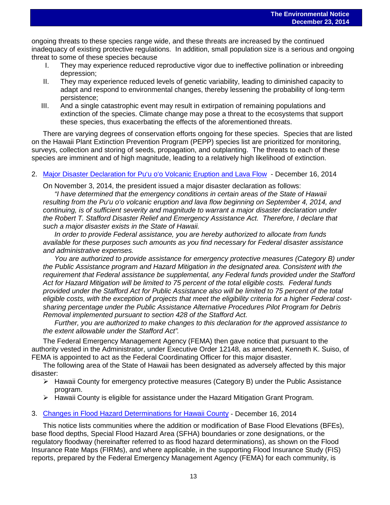$\overline{a}$ ongoing threats to these species range wide, and these threats are increased by the continued inadequacy of existing protective regulations. In addition, small population size is a serious and ongoing threat to some of these species because

- I. They may experience reduced reproductive vigor due to ineffective pollination or inbreeding depression;
- II. They may experience reduced levels of genetic variability, leading to diminished capacity to adapt and respond to environmental changes, thereby lessening the probability of long-term persistence;
- III. And a single catastrophic event may result in extirpation of remaining populations and extinction of the species. Climate change may pose a threat to the ecosystems that support these species, thus exacerbating the effects of the aforementioned threats.

There are varying degrees of conservation efforts ongoing for these species. Species that are listed on the Hawaii Plant Extinction Prevention Program (PEPP) species list are prioritized for monitoring, surveys, collection and storing of seeds, propagation, and outplanting. The threats to each of these species are imminent and of high magnitude, leading to a relatively high likelihood of extinction.

2. [Major Disaster Declaration for Pu'u o'o](http://www.gpo.gov/fdsys/pkg/FR-2014-12-16/pdf/2014-29435.pdf) Volcanic Eruption and Lava Flow - December 16, 2014

On November 3, 2014, the president issued a major disaster declaration as follows:

*"I have determined that the emergency conditions in certain areas of the State of Hawaii resulting from the Pu'u o'o volcanic eruption and lava flow beginning on September 4, 2014, and continuing, is of sufficient severity and magnitude to warrant a major disaster declaration under the Robert T. Stafford Disaster Relief and Emergency Assistance Act. Therefore, I declare that such a major disaster exists in the State of Hawaii.*

*In order to provide Federal assistance, you are hereby authorized to allocate from funds available for these purposes such amounts as you find necessary for Federal disaster assistance and administrative expenses.*

*You are authorized to provide assistance for emergency protective measures (Category B) under the Public Assistance program and Hazard Mitigation in the designated area. Consistent with the requirement that Federal assistance be supplemental, any Federal funds provided under the Stafford Act for Hazard Mitigation will be limited to 75 percent of the total eligible costs. Federal funds provided under the Stafford Act for Public Assistance also will be limited to 75 percent of the total eligible costs, with the exception of projects that meet the eligibility criteria for a higher Federal costsharing percentage under the Public Assistance Alternative Procedures Pilot Program for Debris Removal implemented pursuant to section 428 of the Stafford Act.*

*Further, you are authorized to make changes to this declaration for the approved assistance to the extent allowable under the Stafford Act".*

The Federal Emergency Management Agency (FEMA) then gave notice that pursuant to the authority vested in the Administrator, under Executive Order 12148, as amended, Kenneth K. Suiso, of FEMA is appointed to act as the Federal Coordinating Officer for this major disaster.

The following area of the State of Hawaii has been designated as adversely affected by this major disaster:

- $\triangleright$  Hawaii County for emergency protective measures (Category B) under the Public Assistance program.
- $\triangleright$  Hawaii County is eligible for assistance under the Hazard Mitigation Grant Program.

#### 3. [Changes in Flood Hazard Determinations for Hawaii County](http://www.gpo.gov/fdsys/pkg/FR-2014-12-16/pdf/2014-29433.pdf) - December 16, 2014

This notice lists communities where the addition or modification of Base Flood Elevations (BFEs), base flood depths, Special Flood Hazard Area (SFHA) boundaries or zone designations, or the regulatory floodway (hereinafter referred to as flood hazard determinations), as shown on the Flood Insurance Rate Maps (FIRMs), and where applicable, in the supporting Flood Insurance Study (FIS) reports, prepared by the Federal Emergency Management Agency (FEMA) for each community, is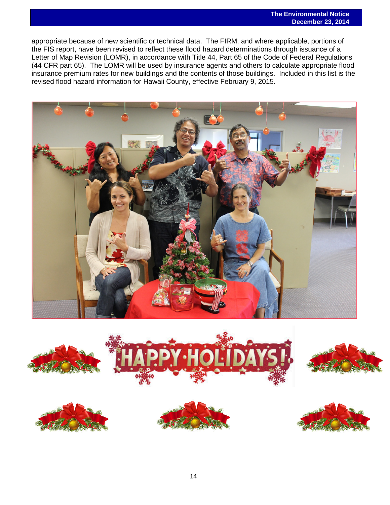$\overline{a}$ appropriate because of new scientific or technical data. The FIRM, and where applicable, portions of the FIS report, have been revised to reflect these flood hazard determinations through issuance of a Letter of Map Revision (LOMR), in accordance with Title 44, Part 65 of the Code of Federal Regulations (44 CFR part 65). The LOMR will be used by insurance agents and others to calculate appropriate flood insurance premium rates for new buildings and the contents of those buildings. Included in this list is the revised flood hazard information for Hawaii County, effective February 9, 2015.